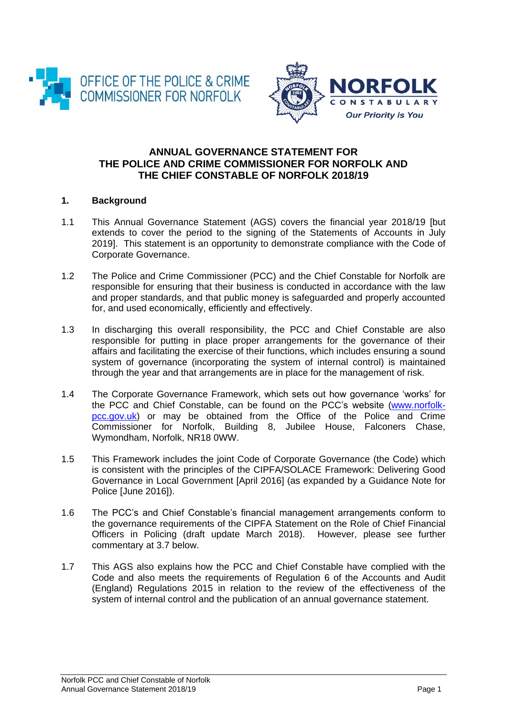



# **ANNUAL GOVERNANCE STATEMENT FOR THE POLICE AND CRIME COMMISSIONER FOR NORFOLK AND THE CHIEF CONSTABLE OF NORFOLK 2018/19**

# **1. Background**

- 1.1 This Annual Governance Statement (AGS) covers the financial year 2018/19 [but extends to cover the period to the signing of the Statements of Accounts in July 2019]. This statement is an opportunity to demonstrate compliance with the Code of Corporate Governance.
- 1.2 The Police and Crime Commissioner (PCC) and the Chief Constable for Norfolk are responsible for ensuring that their business is conducted in accordance with the law and proper standards, and that public money is safeguarded and properly accounted for, and used economically, efficiently and effectively.
- 1.3 In discharging this overall responsibility, the PCC and Chief Constable are also responsible for putting in place proper arrangements for the governance of their affairs and facilitating the exercise of their functions, which includes ensuring a sound system of governance (incorporating the system of internal control) is maintained through the year and that arrangements are in place for the management of risk.
- 1.4 The Corporate Governance Framework, which sets out how governance 'works' for the PCC and Chief Constable, can be found on the PCC's website [\(www.norfolk](http://www.norfolk-pcc.gov.uk/)[pcc.gov.uk\)](http://www.norfolk-pcc.gov.uk/) or may be obtained from the Office of the Police and Crime Commissioner for Norfolk, Building 8, Jubilee House, Falconers Chase, Wymondham, Norfolk, NR18 0WW.
- 1.5 This Framework includes the joint Code of Corporate Governance (the Code) which is consistent with the principles of the CIPFA/SOLACE Framework: Delivering Good Governance in Local Government [April 2016] (as expanded by a Guidance Note for Police [June 2016]).
- 1.6 The PCC's and Chief Constable's financial management arrangements conform to the governance requirements of the CIPFA Statement on the Role of Chief Financial Officers in Policing (draft update March 2018). However, please see further commentary at 3.7 below.
- 1.7 This AGS also explains how the PCC and Chief Constable have complied with the Code and also meets the requirements of Regulation 6 of the Accounts and Audit (England) Regulations 2015 in relation to the review of the effectiveness of the system of internal control and the publication of an annual governance statement.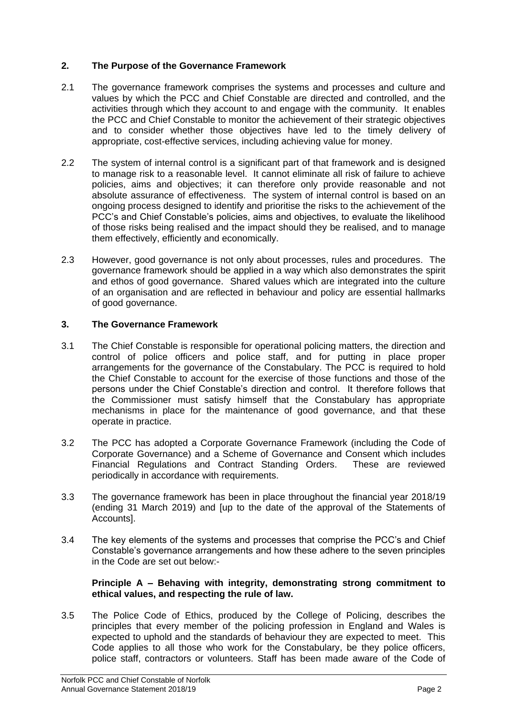# **2. The Purpose of the Governance Framework**

- 2.1 The governance framework comprises the systems and processes and culture and values by which the PCC and Chief Constable are directed and controlled, and the activities through which they account to and engage with the community. It enables the PCC and Chief Constable to monitor the achievement of their strategic objectives and to consider whether those objectives have led to the timely delivery of appropriate, cost-effective services, including achieving value for money.
- 2.2 The system of internal control is a significant part of that framework and is designed to manage risk to a reasonable level. It cannot eliminate all risk of failure to achieve policies, aims and objectives; it can therefore only provide reasonable and not absolute assurance of effectiveness. The system of internal control is based on an ongoing process designed to identify and prioritise the risks to the achievement of the PCC's and Chief Constable's policies, aims and objectives, to evaluate the likelihood of those risks being realised and the impact should they be realised, and to manage them effectively, efficiently and economically.
- 2.3 However, good governance is not only about processes, rules and procedures. The governance framework should be applied in a way which also demonstrates the spirit and ethos of good governance. Shared values which are integrated into the culture of an organisation and are reflected in behaviour and policy are essential hallmarks of good governance.

# **3. The Governance Framework**

- 3.1 The Chief Constable is responsible for operational policing matters, the direction and control of police officers and police staff, and for putting in place proper arrangements for the governance of the Constabulary. The PCC is required to hold the Chief Constable to account for the exercise of those functions and those of the persons under the Chief Constable's direction and control. It therefore follows that the Commissioner must satisfy himself that the Constabulary has appropriate mechanisms in place for the maintenance of good governance, and that these operate in practice.
- 3.2 The PCC has adopted a Corporate Governance Framework (including the Code of Corporate Governance) and a Scheme of Governance and Consent which includes Financial Regulations and Contract Standing Orders. These are reviewed periodically in accordance with requirements.
- 3.3 The governance framework has been in place throughout the financial year 2018/19 (ending 31 March 2019) and [up to the date of the approval of the Statements of Accounts].
- 3.4 The key elements of the systems and processes that comprise the PCC's and Chief Constable's governance arrangements and how these adhere to the seven principles in the Code are set out below:-

# **Principle A – Behaving with integrity, demonstrating strong commitment to ethical values, and respecting the rule of law.**

3.5 The Police Code of Ethics, produced by the College of Policing, describes the principles that every member of the policing profession in England and Wales is expected to uphold and the standards of behaviour they are expected to meet. This Code applies to all those who work for the Constabulary, be they police officers, police staff, contractors or volunteers. Staff has been made aware of the Code of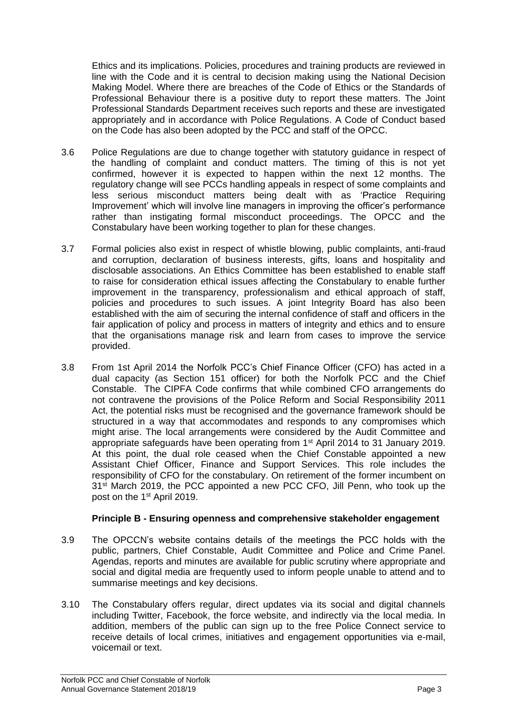Ethics and its implications. Policies, procedures and training products are reviewed in line with the Code and it is central to decision making using the National Decision Making Model. Where there are breaches of the Code of Ethics or the Standards of Professional Behaviour there is a positive duty to report these matters. The Joint Professional Standards Department receives such reports and these are investigated appropriately and in accordance with Police Regulations. A Code of Conduct based on the Code has also been adopted by the PCC and staff of the OPCC.

- 3.6 Police Regulations are due to change together with statutory guidance in respect of the handling of complaint and conduct matters. The timing of this is not yet confirmed, however it is expected to happen within the next 12 months. The regulatory change will see PCCs handling appeals in respect of some complaints and less serious misconduct matters being dealt with as 'Practice Requiring Improvement' which will involve line managers in improving the officer's performance rather than instigating formal misconduct proceedings. The OPCC and the Constabulary have been working together to plan for these changes.
- 3.7 Formal policies also exist in respect of whistle blowing, public complaints, anti-fraud and corruption, declaration of business interests, gifts, loans and hospitality and disclosable associations. An Ethics Committee has been established to enable staff to raise for consideration ethical issues affecting the Constabulary to enable further improvement in the transparency, professionalism and ethical approach of staff, policies and procedures to such issues. A joint Integrity Board has also been established with the aim of securing the internal confidence of staff and officers in the fair application of policy and process in matters of integrity and ethics and to ensure that the organisations manage risk and learn from cases to improve the service provided.
- 3.8 From 1st April 2014 the Norfolk PCC's Chief Finance Officer (CFO) has acted in a dual capacity (as Section 151 officer) for both the Norfolk PCC and the Chief Constable. The CIPFA Code confirms that while combined CFO arrangements do not contravene the provisions of the Police Reform and Social Responsibility 2011 Act, the potential risks must be recognised and the governance framework should be structured in a way that accommodates and responds to any compromises which might arise. The local arrangements were considered by the Audit Committee and appropriate safeguards have been operating from 1st April 2014 to 31 January 2019. At this point, the dual role ceased when the Chief Constable appointed a new Assistant Chief Officer, Finance and Support Services. This role includes the responsibility of CFO for the constabulary. On retirement of the former incumbent on 31<sup>st</sup> March 2019, the PCC appointed a new PCC CFO, Jill Penn, who took up the post on the 1st April 2019.

# **Principle B - Ensuring openness and comprehensive stakeholder engagement**

- 3.9 The OPCCN's website contains details of the meetings the PCC holds with the public, partners, Chief Constable, Audit Committee and Police and Crime Panel. Agendas, reports and minutes are available for public scrutiny where appropriate and social and digital media are frequently used to inform people unable to attend and to summarise meetings and key decisions.
- 3.10 The Constabulary offers regular, direct updates via its social and digital channels including Twitter, Facebook, the force website, and indirectly via the local media. In addition, members of the public can sign up to the free Police Connect service to receive details of local crimes, initiatives and engagement opportunities via e-mail, voicemail or text.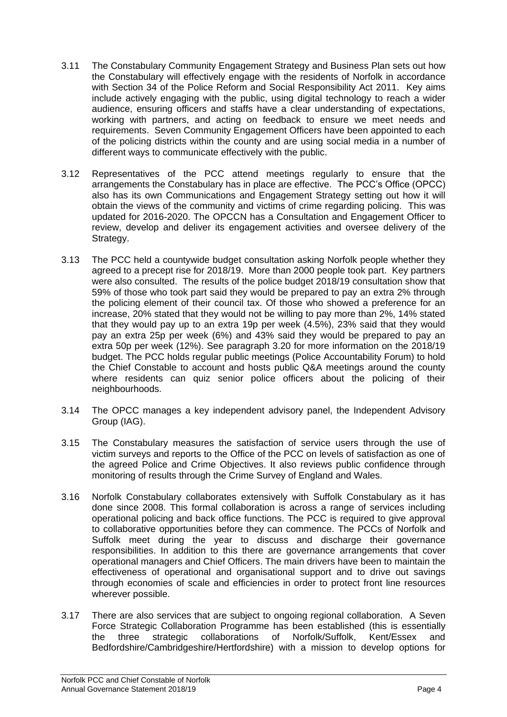- 3.11 The Constabulary Community Engagement Strategy and Business Plan sets out how the Constabulary will effectively engage with the residents of Norfolk in accordance with Section 34 of the Police Reform and Social Responsibility Act 2011. Key aims include actively engaging with the public, using digital technology to reach a wider audience, ensuring officers and staffs have a clear understanding of expectations, working with partners, and acting on feedback to ensure we meet needs and requirements. Seven Community Engagement Officers have been appointed to each of the policing districts within the county and are using social media in a number of different ways to communicate effectively with the public.
- 3.12 Representatives of the PCC attend meetings regularly to ensure that the arrangements the Constabulary has in place are effective. The PCC's Office (OPCC) also has its own Communications and Engagement Strategy setting out how it will obtain the views of the community and victims of crime regarding policing. This was updated for 2016-2020. The OPCCN has a Consultation and Engagement Officer to review, develop and deliver its engagement activities and oversee delivery of the Strategy.
- 3.13 The PCC held a countywide budget consultation asking Norfolk people whether they agreed to a precept rise for 2018/19. More than 2000 people took part. Key partners were also consulted. The results of the police budget 2018/19 consultation show that 59% of those who took part said they would be prepared to pay an extra 2% through the policing element of their council tax. Of those who showed a preference for an increase, 20% stated that they would not be willing to pay more than 2%, 14% stated that they would pay up to an extra 19p per week (4.5%), 23% said that they would pay an extra 25p per week (6%) and 43% said they would be prepared to pay an extra 50p per week (12%). See paragraph 3.20 for more information on the 2018/19 budget. The PCC holds regular public meetings (Police Accountability Forum) to hold the Chief Constable to account and hosts public Q&A meetings around the county where residents can quiz senior police officers about the policing of their neighbourhoods.
- 3.14 The OPCC manages a key independent advisory panel, the Independent Advisory Group (IAG).
- 3.15 The Constabulary measures the satisfaction of service users through the use of victim surveys and reports to the Office of the PCC on levels of satisfaction as one of the agreed Police and Crime Objectives. It also reviews public confidence through monitoring of results through the Crime Survey of England and Wales.
- 3.16 Norfolk Constabulary collaborates extensively with Suffolk Constabulary as it has done since 2008. This formal collaboration is across a range of services including operational policing and back office functions. The PCC is required to give approval to collaborative opportunities before they can commence. The PCCs of Norfolk and Suffolk meet during the year to discuss and discharge their governance responsibilities. In addition to this there are governance arrangements that cover operational managers and Chief Officers. The main drivers have been to maintain the effectiveness of operational and organisational support and to drive out savings through economies of scale and efficiencies in order to protect front line resources wherever possible.
- 3.17 There are also services that are subject to ongoing regional collaboration. A Seven Force Strategic Collaboration Programme has been established (this is essentially the three strategic collaborations of Norfolk/Suffolk, Kent/Essex and Bedfordshire/Cambridgeshire/Hertfordshire) with a mission to develop options for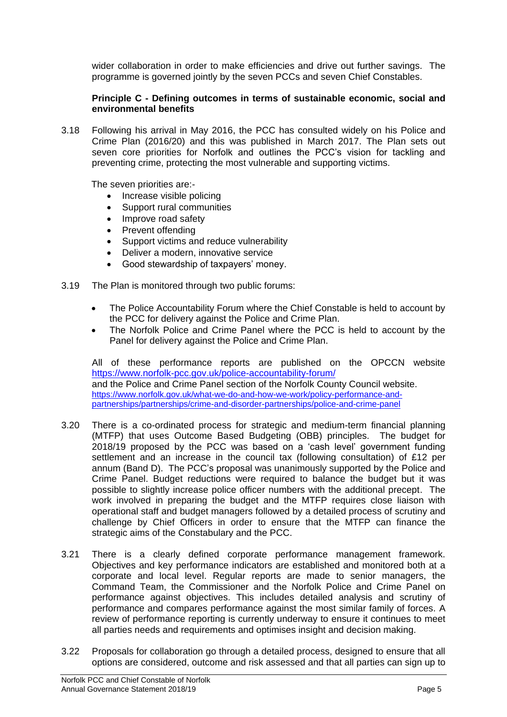wider collaboration in order to make efficiencies and drive out further savings. The programme is governed jointly by the seven PCCs and seven Chief Constables.

# **Principle C - Defining outcomes in terms of sustainable economic, social and environmental benefits**

3.18 Following his arrival in May 2016, the PCC has consulted widely on his Police and Crime Plan (2016/20) and this was published in March 2017. The Plan sets out seven core priorities for Norfolk and outlines the PCC's vision for tackling and preventing crime, protecting the most vulnerable and supporting victims.

The seven priorities are:-

- Increase visible policing
- Support rural communities
- Improve road safety
- Prevent offending
- Support victims and reduce vulnerability
- Deliver a modern, innovative service
- Good stewardship of taxpayers' money.
- 3.19 The Plan is monitored through two public forums:
	- The Police Accountability Forum where the Chief Constable is held to account by the PCC for delivery against the Police and Crime Plan.
	- The Norfolk Police and Crime Panel where the PCC is held to account by the Panel for delivery against the Police and Crime Plan.

All of these performance reports are published on the OPCCN website <https://www.norfolk-pcc.gov.uk/police-accountability-forum/> and the Police and Crime Panel section of the Norfolk County Council website. [https://www.norfolk.gov.uk/what-we-do-and-how-we-work/policy-performance-and](https://www.norfolk.gov.uk/what-we-do-and-how-we-work/policy-performance-and-partnerships/partnerships/crime-and-disorder-partnerships/police-and-crime-panel)[partnerships/partnerships/crime-and-disorder-partnerships/police-and-crime-panel](https://www.norfolk.gov.uk/what-we-do-and-how-we-work/policy-performance-and-partnerships/partnerships/crime-and-disorder-partnerships/police-and-crime-panel)

- 3.20 There is a co-ordinated process for strategic and medium-term financial planning (MTFP) that uses Outcome Based Budgeting (OBB) principles. The budget for 2018/19 proposed by the PCC was based on a 'cash level' government funding settlement and an increase in the council tax (following consultation) of £12 per annum (Band D). The PCC's proposal was unanimously supported by the Police and Crime Panel. Budget reductions were required to balance the budget but it was possible to slightly increase police officer numbers with the additional precept. The work involved in preparing the budget and the MTFP requires close liaison with operational staff and budget managers followed by a detailed process of scrutiny and challenge by Chief Officers in order to ensure that the MTFP can finance the strategic aims of the Constabulary and the PCC.
- 3.21 There is a clearly defined corporate performance management framework. Objectives and key performance indicators are established and monitored both at a corporate and local level. Regular reports are made to senior managers, the Command Team, the Commissioner and the Norfolk Police and Crime Panel on performance against objectives. This includes detailed analysis and scrutiny of performance and compares performance against the most similar family of forces. A review of performance reporting is currently underway to ensure it continues to meet all parties needs and requirements and optimises insight and decision making.
- 3.22 Proposals for collaboration go through a detailed process, designed to ensure that all options are considered, outcome and risk assessed and that all parties can sign up to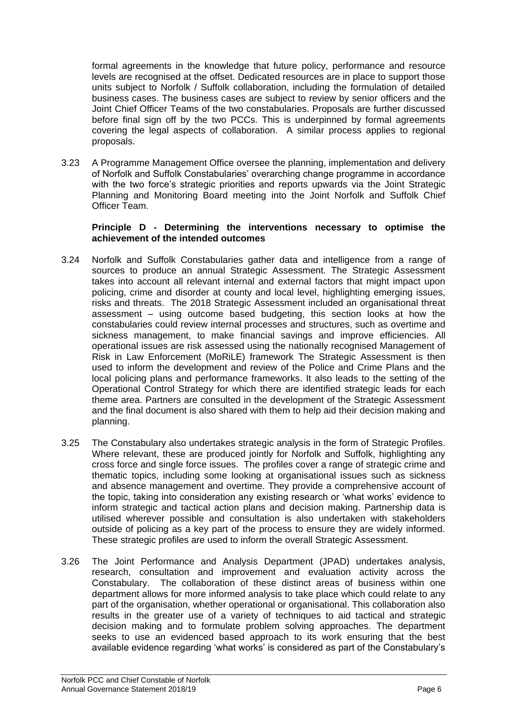formal agreements in the knowledge that future policy, performance and resource levels are recognised at the offset. Dedicated resources are in place to support those units subject to Norfolk / Suffolk collaboration, including the formulation of detailed business cases. The business cases are subject to review by senior officers and the Joint Chief Officer Teams of the two constabularies. Proposals are further discussed before final sign off by the two PCCs. This is underpinned by formal agreements covering the legal aspects of collaboration. A similar process applies to regional proposals.

3.23 A Programme Management Office oversee the planning, implementation and delivery of Norfolk and Suffolk Constabularies' overarching change programme in accordance with the two force's strategic priorities and reports upwards via the Joint Strategic Planning and Monitoring Board meeting into the Joint Norfolk and Suffolk Chief Officer Team.

# **Principle D - Determining the interventions necessary to optimise the achievement of the intended outcomes**

- 3.24 Norfolk and Suffolk Constabularies gather data and intelligence from a range of sources to produce an annual Strategic Assessment. The Strategic Assessment takes into account all relevant internal and external factors that might impact upon policing, crime and disorder at county and local level, highlighting emerging issues, risks and threats. The 2018 Strategic Assessment included an organisational threat assessment – using outcome based budgeting, this section looks at how the constabularies could review internal processes and structures, such as overtime and sickness management, to make financial savings and improve efficiencies. All operational issues are risk assessed using the nationally recognised Management of Risk in Law Enforcement (MoRiLE) framework The Strategic Assessment is then used to inform the development and review of the Police and Crime Plans and the local policing plans and performance frameworks. It also leads to the setting of the Operational Control Strategy for which there are identified strategic leads for each theme area. Partners are consulted in the development of the Strategic Assessment and the final document is also shared with them to help aid their decision making and planning.
- 3.25 The Constabulary also undertakes strategic analysis in the form of Strategic Profiles. Where relevant, these are produced jointly for Norfolk and Suffolk, highlighting any cross force and single force issues. The profiles cover a range of strategic crime and thematic topics, including some looking at organisational issues such as sickness and absence management and overtime. They provide a comprehensive account of the topic, taking into consideration any existing research or 'what works' evidence to inform strategic and tactical action plans and decision making. Partnership data is utilised wherever possible and consultation is also undertaken with stakeholders outside of policing as a key part of the process to ensure they are widely informed. These strategic profiles are used to inform the overall Strategic Assessment.
- 3.26 The Joint Performance and Analysis Department (JPAD) undertakes analysis, research, consultation and improvement and evaluation activity across the Constabulary. The collaboration of these distinct areas of business within one department allows for more informed analysis to take place which could relate to any part of the organisation, whether operational or organisational. This collaboration also results in the greater use of a variety of techniques to aid tactical and strategic decision making and to formulate problem solving approaches. The department seeks to use an evidenced based approach to its work ensuring that the best available evidence regarding 'what works' is considered as part of the Constabulary's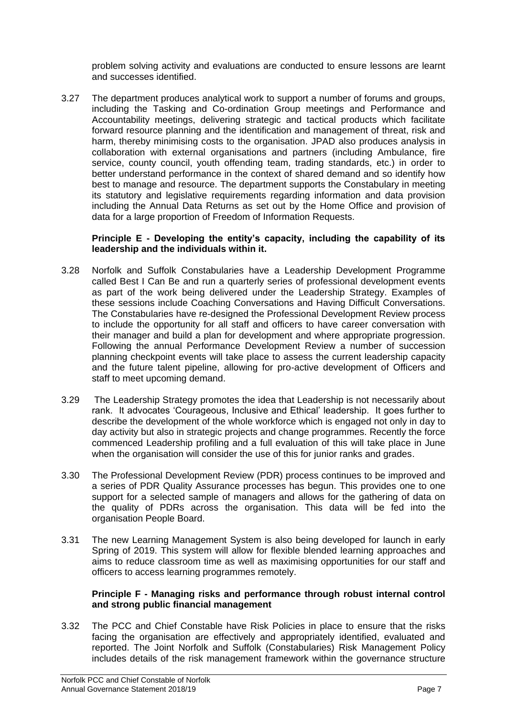problem solving activity and evaluations are conducted to ensure lessons are learnt and successes identified.

3.27 The department produces analytical work to support a number of forums and groups, including the Tasking and Co-ordination Group meetings and Performance and Accountability meetings, delivering strategic and tactical products which facilitate forward resource planning and the identification and management of threat, risk and harm, thereby minimising costs to the organisation. JPAD also produces analysis in collaboration with external organisations and partners (including Ambulance, fire service, county council, youth offending team, trading standards, etc.) in order to better understand performance in the context of shared demand and so identify how best to manage and resource. The department supports the Constabulary in meeting its statutory and legislative requirements regarding information and data provision including the Annual Data Returns as set out by the Home Office and provision of data for a large proportion of Freedom of Information Requests.

## **Principle E - Developing the entity's capacity, including the capability of its leadership and the individuals within it.**

- 3.28 Norfolk and Suffolk Constabularies have a Leadership Development Programme called Best I Can Be and run a quarterly series of professional development events as part of the work being delivered under the Leadership Strategy. Examples of these sessions include Coaching Conversations and Having Difficult Conversations. The Constabularies have re-designed the Professional Development Review process to include the opportunity for all staff and officers to have career conversation with their manager and build a plan for development and where appropriate progression. Following the annual Performance Development Review a number of succession planning checkpoint events will take place to assess the current leadership capacity and the future talent pipeline, allowing for pro-active development of Officers and staff to meet upcoming demand.
- 3.29 The Leadership Strategy promotes the idea that Leadership is not necessarily about rank. It advocates 'Courageous, Inclusive and Ethical' leadership. It goes further to describe the development of the whole workforce which is engaged not only in day to day activity but also in strategic projects and change programmes. Recently the force commenced Leadership profiling and a full evaluation of this will take place in June when the organisation will consider the use of this for junior ranks and grades.
- 3.30 The Professional Development Review (PDR) process continues to be improved and a series of PDR Quality Assurance processes has begun. This provides one to one support for a selected sample of managers and allows for the gathering of data on the quality of PDRs across the organisation. This data will be fed into the organisation People Board.
- 3.31 The new Learning Management System is also being developed for launch in early Spring of 2019. This system will allow for flexible blended learning approaches and aims to reduce classroom time as well as maximising opportunities for our staff and officers to access learning programmes remotely.

## **Principle F - Managing risks and performance through robust internal control and strong public financial management**

3.32 The PCC and Chief Constable have Risk Policies in place to ensure that the risks facing the organisation are effectively and appropriately identified, evaluated and reported. The Joint Norfolk and Suffolk (Constabularies) Risk Management Policy includes details of the risk management framework within the governance structure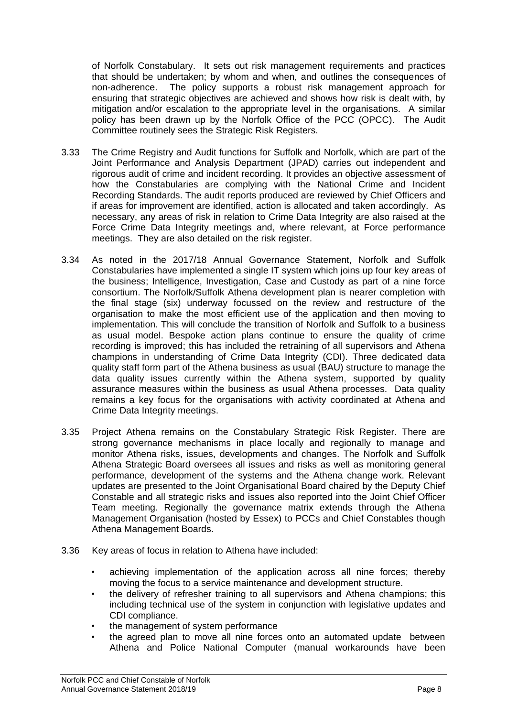of Norfolk Constabulary. It sets out risk management requirements and practices that should be undertaken; by whom and when, and outlines the consequences of non-adherence. The policy supports a robust risk management approach for ensuring that strategic objectives are achieved and shows how risk is dealt with, by mitigation and/or escalation to the appropriate level in the organisations. A similar policy has been drawn up by the Norfolk Office of the PCC (OPCC). The Audit Committee routinely sees the Strategic Risk Registers.

- 3.33 The Crime Registry and Audit functions for Suffolk and Norfolk, which are part of the Joint Performance and Analysis Department (JPAD) carries out independent and rigorous audit of crime and incident recording. It provides an objective assessment of how the Constabularies are complying with the National Crime and Incident Recording Standards. The audit reports produced are reviewed by Chief Officers and if areas for improvement are identified, action is allocated and taken accordingly. As necessary, any areas of risk in relation to Crime Data Integrity are also raised at the Force Crime Data Integrity meetings and, where relevant, at Force performance meetings. They are also detailed on the risk register.
- 3.34 As noted in the 2017/18 Annual Governance Statement, Norfolk and Suffolk Constabularies have implemented a single IT system which joins up four key areas of the business; Intelligence, Investigation, Case and Custody as part of a nine force consortium. The Norfolk/Suffolk Athena development plan is nearer completion with the final stage (six) underway focussed on the review and restructure of the organisation to make the most efficient use of the application and then moving to implementation. This will conclude the transition of Norfolk and Suffolk to a business as usual model. Bespoke action plans continue to ensure the quality of crime recording is improved; this has included the retraining of all supervisors and Athena champions in understanding of Crime Data Integrity (CDI). Three dedicated data quality staff form part of the Athena business as usual (BAU) structure to manage the data quality issues currently within the Athena system, supported by quality assurance measures within the business as usual Athena processes. Data quality remains a key focus for the organisations with activity coordinated at Athena and Crime Data Integrity meetings.
- 3.35 Project Athena remains on the Constabulary Strategic Risk Register. There are strong governance mechanisms in place locally and regionally to manage and monitor Athena risks, issues, developments and changes. The Norfolk and Suffolk Athena Strategic Board oversees all issues and risks as well as monitoring general performance, development of the systems and the Athena change work. Relevant updates are presented to the Joint Organisational Board chaired by the Deputy Chief Constable and all strategic risks and issues also reported into the Joint Chief Officer Team meeting. Regionally the governance matrix extends through the Athena Management Organisation (hosted by Essex) to PCCs and Chief Constables though Athena Management Boards.
- 3.36 Key areas of focus in relation to Athena have included:
	- achieving implementation of the application across all nine forces; thereby moving the focus to a service maintenance and development structure.
	- the delivery of refresher training to all supervisors and Athena champions; this including technical use of the system in conjunction with legislative updates and CDI compliance.
	- the management of system performance
	- the agreed plan to move all nine forces onto an automated update between Athena and Police National Computer (manual workarounds have been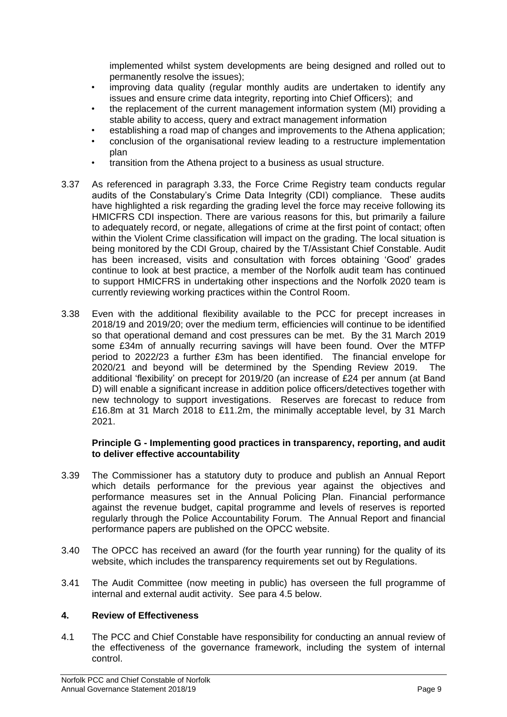implemented whilst system developments are being designed and rolled out to permanently resolve the issues);

- improving data quality (regular monthly audits are undertaken to identify any issues and ensure crime data integrity, reporting into Chief Officers); and
- the replacement of the current management information system (MI) providing a stable ability to access, query and extract management information
- establishing a road map of changes and improvements to the Athena application;
- conclusion of the organisational review leading to a restructure implementation plan
- transition from the Athena project to a business as usual structure.
- 3.37 As referenced in paragraph 3.33, the Force Crime Registry team conducts regular audits of the Constabulary's Crime Data Integrity (CDI) compliance. These audits have highlighted a risk regarding the grading level the force may receive following its HMICFRS CDI inspection. There are various reasons for this, but primarily a failure to adequately record, or negate, allegations of crime at the first point of contact; often within the Violent Crime classification will impact on the grading. The local situation is being monitored by the CDI Group, chaired by the T/Assistant Chief Constable. Audit has been increased, visits and consultation with forces obtaining 'Good' grades continue to look at best practice, a member of the Norfolk audit team has continued to support HMICFRS in undertaking other inspections and the Norfolk 2020 team is currently reviewing working practices within the Control Room.
- 3.38 Even with the additional flexibility available to the PCC for precept increases in 2018/19 and 2019/20; over the medium term, efficiencies will continue to be identified so that operational demand and cost pressures can be met. By the 31 March 2019 some £34m of annually recurring savings will have been found. Over the MTFP period to 2022/23 a further £3m has been identified. The financial envelope for 2020/21 and beyond will be determined by the Spending Review 2019. The additional 'flexibility' on precept for 2019/20 (an increase of £24 per annum (at Band D) will enable a significant increase in addition police officers/detectives together with new technology to support investigations. Reserves are forecast to reduce from £16.8m at 31 March 2018 to £11.2m, the minimally acceptable level, by 31 March 2021.

# **Principle G - Implementing good practices in transparency, reporting, and audit to deliver effective accountability**

- 3.39 The Commissioner has a statutory duty to produce and publish an Annual Report which details performance for the previous year against the objectives and performance measures set in the Annual Policing Plan. Financial performance against the revenue budget, capital programme and levels of reserves is reported regularly through the Police Accountability Forum. The Annual Report and financial performance papers are published on the OPCC website.
- 3.40 The OPCC has received an award (for the fourth year running) for the quality of its website, which includes the transparency requirements set out by Regulations.
- 3.41 The Audit Committee (now meeting in public) has overseen the full programme of internal and external audit activity. See para 4.5 below.

# **4. Review of Effectiveness**

4.1 The PCC and Chief Constable have responsibility for conducting an annual review of the effectiveness of the governance framework, including the system of internal control.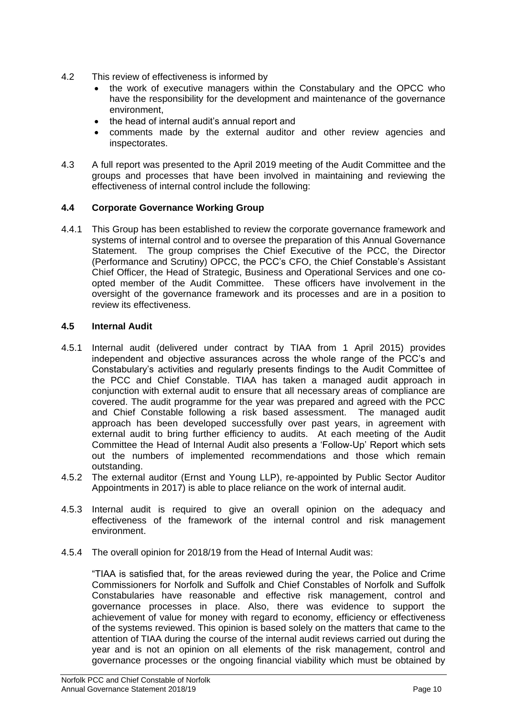- 4.2 This review of effectiveness is informed by
	- the work of executive managers within the Constabulary and the OPCC who have the responsibility for the development and maintenance of the governance environment,
	- the head of internal audit's annual report and
	- comments made by the external auditor and other review agencies and inspectorates.
- 4.3 A full report was presented to the April 2019 meeting of the Audit Committee and the groups and processes that have been involved in maintaining and reviewing the effectiveness of internal control include the following:

# **4.4 Corporate Governance Working Group**

4.4.1 This Group has been established to review the corporate governance framework and systems of internal control and to oversee the preparation of this Annual Governance Statement. The group comprises the Chief Executive of the PCC, the Director (Performance and Scrutiny) OPCC, the PCC's CFO, the Chief Constable's Assistant Chief Officer, the Head of Strategic, Business and Operational Services and one coopted member of the Audit Committee. These officers have involvement in the oversight of the governance framework and its processes and are in a position to review its effectiveness.

# **4.5 Internal Audit**

- 4.5.1 Internal audit (delivered under contract by TIAA from 1 April 2015) provides independent and objective assurances across the whole range of the PCC's and Constabulary's activities and regularly presents findings to the Audit Committee of the PCC and Chief Constable. TIAA has taken a managed audit approach in conjunction with external audit to ensure that all necessary areas of compliance are covered. The audit programme for the year was prepared and agreed with the PCC and Chief Constable following a risk based assessment. The managed audit approach has been developed successfully over past years, in agreement with external audit to bring further efficiency to audits. At each meeting of the Audit Committee the Head of Internal Audit also presents a 'Follow-Up' Report which sets out the numbers of implemented recommendations and those which remain outstanding.
- 4.5.2 The external auditor (Ernst and Young LLP), re-appointed by Public Sector Auditor Appointments in 2017) is able to place reliance on the work of internal audit.
- 4.5.3 Internal audit is required to give an overall opinion on the adequacy and effectiveness of the framework of the internal control and risk management environment.
- 4.5.4 The overall opinion for 2018/19 from the Head of Internal Audit was:

"TIAA is satisfied that, for the areas reviewed during the year, the Police and Crime Commissioners for Norfolk and Suffolk and Chief Constables of Norfolk and Suffolk Constabularies have reasonable and effective risk management, control and governance processes in place. Also, there was evidence to support the achievement of value for money with regard to economy, efficiency or effectiveness of the systems reviewed. This opinion is based solely on the matters that came to the attention of TIAA during the course of the internal audit reviews carried out during the year and is not an opinion on all elements of the risk management, control and governance processes or the ongoing financial viability which must be obtained by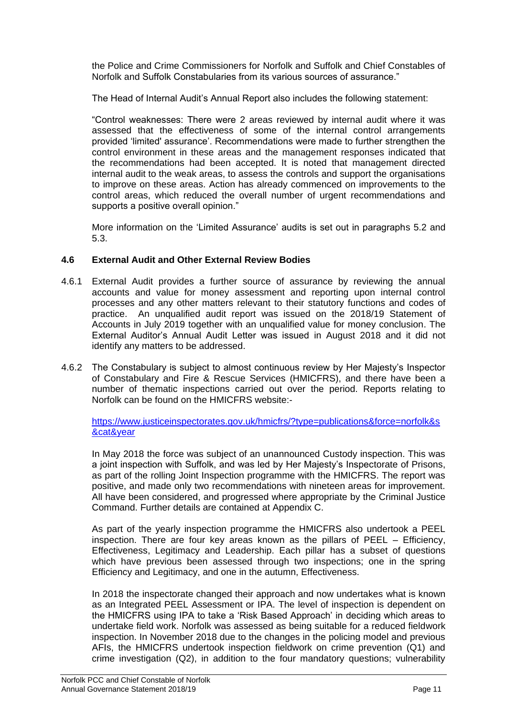the Police and Crime Commissioners for Norfolk and Suffolk and Chief Constables of Norfolk and Suffolk Constabularies from its various sources of assurance."

The Head of Internal Audit's Annual Report also includes the following statement:

"Control weaknesses: There were 2 areas reviewed by internal audit where it was assessed that the effectiveness of some of the internal control arrangements provided 'limited' assurance'. Recommendations were made to further strengthen the control environment in these areas and the management responses indicated that the recommendations had been accepted. It is noted that management directed internal audit to the weak areas, to assess the controls and support the organisations to improve on these areas. Action has already commenced on improvements to the control areas, which reduced the overall number of urgent recommendations and supports a positive overall opinion."

More information on the 'Limited Assurance' audits is set out in paragraphs 5.2 and 5.3.

# **4.6 External Audit and Other External Review Bodies**

- 4.6.1 External Audit provides a further source of assurance by reviewing the annual accounts and value for money assessment and reporting upon internal control processes and any other matters relevant to their statutory functions and codes of practice. An unqualified audit report was issued on the 2018/19 Statement of Accounts in July 2019 together with an unqualified value for money conclusion. The External Auditor's Annual Audit Letter was issued in August 2018 and it did not identify any matters to be addressed.
- 4.6.2 The Constabulary is subject to almost continuous review by Her Majesty's Inspector of Constabulary and Fire & Rescue Services (HMICFRS), and there have been a number of thematic inspections carried out over the period. Reports relating to Norfolk can be found on the HMICFRS website:-

[https://www.justiceinspectorates.gov.uk/hmicfrs/?type=publications&force=norfolk&s](https://www.justiceinspectorates.gov.uk/hmicfrs/?type=publications&force=norfolk&s&cat&year) [&cat&year](https://www.justiceinspectorates.gov.uk/hmicfrs/?type=publications&force=norfolk&s&cat&year)

In May 2018 the force was subject of an unannounced Custody inspection. This was a joint inspection with Suffolk, and was led by Her Majesty's Inspectorate of Prisons, as part of the rolling Joint Inspection programme with the HMICFRS. The report was positive, and made only two recommendations with nineteen areas for improvement. All have been considered, and progressed where appropriate by the Criminal Justice Command. Further details are contained at Appendix C.

As part of the yearly inspection programme the HMICFRS also undertook a PEEL inspection. There are four key areas known as the pillars of PEEL – Efficiency, Effectiveness, Legitimacy and Leadership. Each pillar has a subset of questions which have previous been assessed through two inspections; one in the spring Efficiency and Legitimacy, and one in the autumn, Effectiveness.

In 2018 the inspectorate changed their approach and now undertakes what is known as an Integrated PEEL Assessment or IPA. The level of inspection is dependent on the HMICFRS using IPA to take a 'Risk Based Approach' in deciding which areas to undertake field work. Norfolk was assessed as being suitable for a reduced fieldwork inspection. In November 2018 due to the changes in the policing model and previous AFIs, the HMICFRS undertook inspection fieldwork on crime prevention (Q1) and crime investigation (Q2), in addition to the four mandatory questions; vulnerability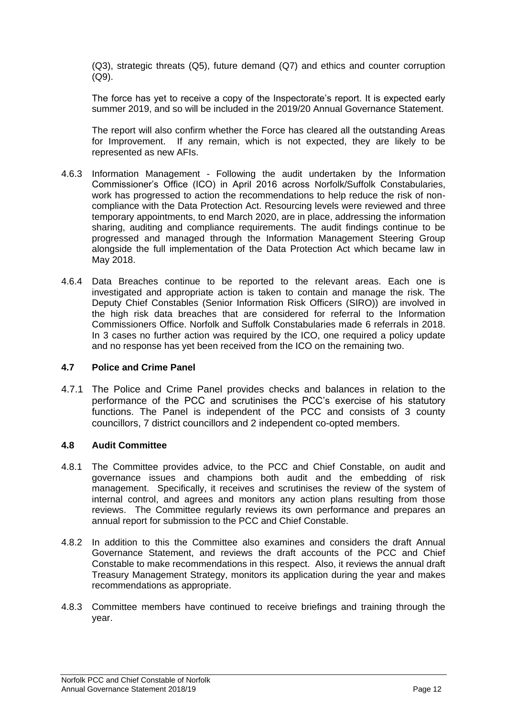(Q3), strategic threats (Q5), future demand (Q7) and ethics and counter corruption (Q9).

The force has yet to receive a copy of the Inspectorate's report. It is expected early summer 2019, and so will be included in the 2019/20 Annual Governance Statement.

The report will also confirm whether the Force has cleared all the outstanding Areas for Improvement. If any remain, which is not expected, they are likely to be represented as new AFIs.

- 4.6.3 Information Management Following the audit undertaken by the Information Commissioner's Office (ICO) in April 2016 across Norfolk/Suffolk Constabularies, work has progressed to action the recommendations to help reduce the risk of noncompliance with the Data Protection Act. Resourcing levels were reviewed and three temporary appointments, to end March 2020, are in place, addressing the information sharing, auditing and compliance requirements. The audit findings continue to be progressed and managed through the Information Management Steering Group alongside the full implementation of the Data Protection Act which became law in May 2018.
- 4.6.4 Data Breaches continue to be reported to the relevant areas. Each one is investigated and appropriate action is taken to contain and manage the risk. The Deputy Chief Constables (Senior Information Risk Officers (SIRO)) are involved in the high risk data breaches that are considered for referral to the Information Commissioners Office. Norfolk and Suffolk Constabularies made 6 referrals in 2018. In 3 cases no further action was required by the ICO, one required a policy update and no response has yet been received from the ICO on the remaining two.

## **4.7 Police and Crime Panel**

4.7.1 The Police and Crime Panel provides checks and balances in relation to the performance of the PCC and scrutinises the PCC's exercise of his statutory functions. The Panel is independent of the PCC and consists of 3 county councillors, 7 district councillors and 2 independent co-opted members.

# **4.8 Audit Committee**

- 4.8.1 The Committee provides advice, to the PCC and Chief Constable, on audit and governance issues and champions both audit and the embedding of risk management. Specifically, it receives and scrutinises the review of the system of internal control, and agrees and monitors any action plans resulting from those reviews. The Committee regularly reviews its own performance and prepares an annual report for submission to the PCC and Chief Constable.
- 4.8.2 In addition to this the Committee also examines and considers the draft Annual Governance Statement, and reviews the draft accounts of the PCC and Chief Constable to make recommendations in this respect. Also, it reviews the annual draft Treasury Management Strategy, monitors its application during the year and makes recommendations as appropriate.
- 4.8.3 Committee members have continued to receive briefings and training through the year.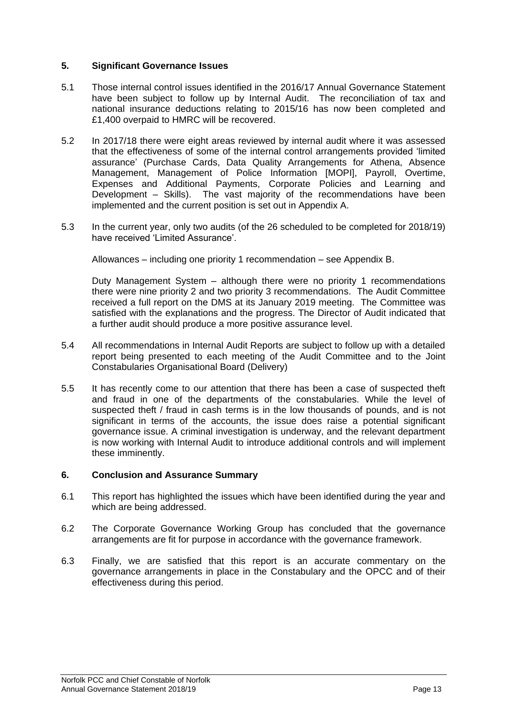# **5. Significant Governance Issues**

- 5.1 Those internal control issues identified in the 2016/17 Annual Governance Statement have been subject to follow up by Internal Audit. The reconciliation of tax and national insurance deductions relating to 2015/16 has now been completed and £1,400 overpaid to HMRC will be recovered.
- 5.2 In 2017/18 there were eight areas reviewed by internal audit where it was assessed that the effectiveness of some of the internal control arrangements provided 'limited assurance' (Purchase Cards, Data Quality Arrangements for Athena, Absence Management, Management of Police Information [MOPI], Payroll, Overtime, Expenses and Additional Payments, Corporate Policies and Learning and Development – Skills). The vast majority of the recommendations have been implemented and the current position is set out in Appendix A.
- 5.3 In the current year, only two audits (of the 26 scheduled to be completed for 2018/19) have received 'Limited Assurance'.

Allowances – including one priority 1 recommendation – see Appendix B.

Duty Management System – although there were no priority 1 recommendations there were nine priority 2 and two priority 3 recommendations. The Audit Committee received a full report on the DMS at its January 2019 meeting. The Committee was satisfied with the explanations and the progress. The Director of Audit indicated that a further audit should produce a more positive assurance level.

- 5.4 All recommendations in Internal Audit Reports are subject to follow up with a detailed report being presented to each meeting of the Audit Committee and to the Joint Constabularies Organisational Board (Delivery)
- 5.5 It has recently come to our attention that there has been a case of suspected theft and fraud in one of the departments of the constabularies. While the level of suspected theft / fraud in cash terms is in the low thousands of pounds, and is not significant in terms of the accounts, the issue does raise a potential significant governance issue. A criminal investigation is underway, and the relevant department is now working with Internal Audit to introduce additional controls and will implement these imminently.

## **6. Conclusion and Assurance Summary**

- 6.1 This report has highlighted the issues which have been identified during the year and which are being addressed.
- 6.2 The Corporate Governance Working Group has concluded that the governance arrangements are fit for purpose in accordance with the governance framework.
- 6.3 Finally, we are satisfied that this report is an accurate commentary on the governance arrangements in place in the Constabulary and the OPCC and of their effectiveness during this period.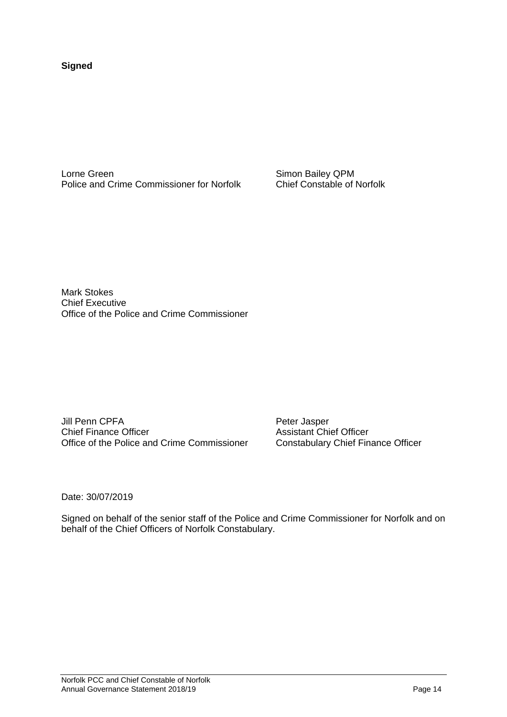**Signed**

Lorne Green<br>
Police and Crime Commissioner for Norfolk<br>
Chief Constable of Norfolk<br>
Chief Constable of Norfolk Police and Crime Commissioner for Norfolk

Mark Stokes Chief Executive Office of the Police and Crime Commissioner

Jill Penn CPFA Peter Jasper Chief Finance Officer **Assistant Chief Officer** Office of the Police and Crime Commissioner Constabulary Chief Finance Officer

Date: 30/07/2019

Signed on behalf of the senior staff of the Police and Crime Commissioner for Norfolk and on behalf of the Chief Officers of Norfolk Constabulary.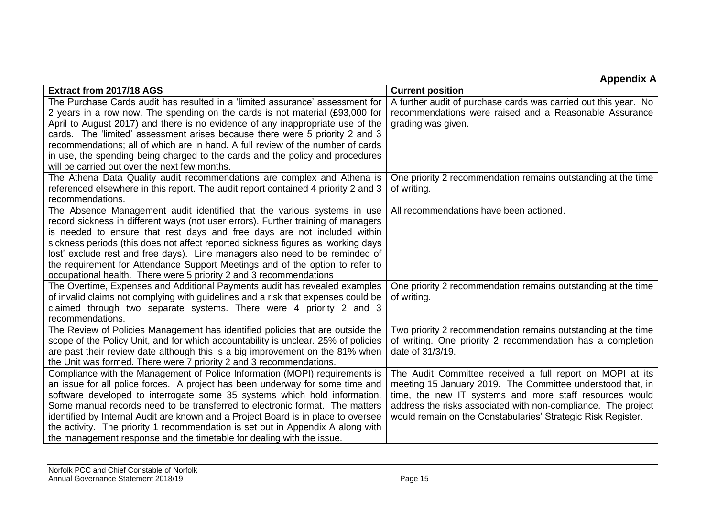# **Appendix A**

| Extract from 2017/18 AGS                                                           | <b>Current position</b>                                         |
|------------------------------------------------------------------------------------|-----------------------------------------------------------------|
| The Purchase Cards audit has resulted in a 'limited assurance' assessment for      | A further audit of purchase cards was carried out this year. No |
| 2 years in a row now. The spending on the cards is not material (£93,000 for       | recommendations were raised and a Reasonable Assurance          |
| April to August 2017) and there is no evidence of any inappropriate use of the     | grading was given.                                              |
| cards. The 'limited' assessment arises because there were 5 priority 2 and 3       |                                                                 |
| recommendations; all of which are in hand. A full review of the number of cards    |                                                                 |
| in use, the spending being charged to the cards and the policy and procedures      |                                                                 |
| will be carried out over the next few months.                                      |                                                                 |
| The Athena Data Quality audit recommendations are complex and Athena is            | One priority 2 recommendation remains outstanding at the time   |
| referenced elsewhere in this report. The audit report contained 4 priority 2 and 3 | of writing.                                                     |
| recommendations.                                                                   |                                                                 |
| The Absence Management audit identified that the various systems in use            | All recommendations have been actioned.                         |
| record sickness in different ways (not user errors). Further training of managers  |                                                                 |
| is needed to ensure that rest days and free days are not included within           |                                                                 |
| sickness periods (this does not affect reported sickness figures as 'working days  |                                                                 |
| lost' exclude rest and free days). Line managers also need to be reminded of       |                                                                 |
| the requirement for Attendance Support Meetings and of the option to refer to      |                                                                 |
| occupational health. There were 5 priority 2 and 3 recommendations                 |                                                                 |
| The Overtime, Expenses and Additional Payments audit has revealed examples         | One priority 2 recommendation remains outstanding at the time   |
| of invalid claims not complying with guidelines and a risk that expenses could be  | of writing.                                                     |
| claimed through two separate systems. There were 4 priority 2 and 3                |                                                                 |
| recommendations.                                                                   |                                                                 |
| The Review of Policies Management has identified policies that are outside the     | Two priority 2 recommendation remains outstanding at the time   |
| scope of the Policy Unit, and for which accountability is unclear. 25% of policies | of writing. One priority 2 recommendation has a completion      |
| are past their review date although this is a big improvement on the 81% when      | date of 31/3/19.                                                |
| the Unit was formed. There were 7 priority 2 and 3 recommendations.                |                                                                 |
| Compliance with the Management of Police Information (MOPI) requirements is        | The Audit Committee received a full report on MOPI at its       |
| an issue for all police forces. A project has been underway for some time and      | meeting 15 January 2019. The Committee understood that, in      |
| software developed to interrogate some 35 systems which hold information.          | time, the new IT systems and more staff resources would         |
| Some manual records need to be transferred to electronic format. The matters       | address the risks associated with non-compliance. The project   |
| identified by Internal Audit are known and a Project Board is in place to oversee  | would remain on the Constabularies' Strategic Risk Register.    |
| the activity. The priority 1 recommendation is set out in Appendix A along with    |                                                                 |
| the management response and the timetable for dealing with the issue.              |                                                                 |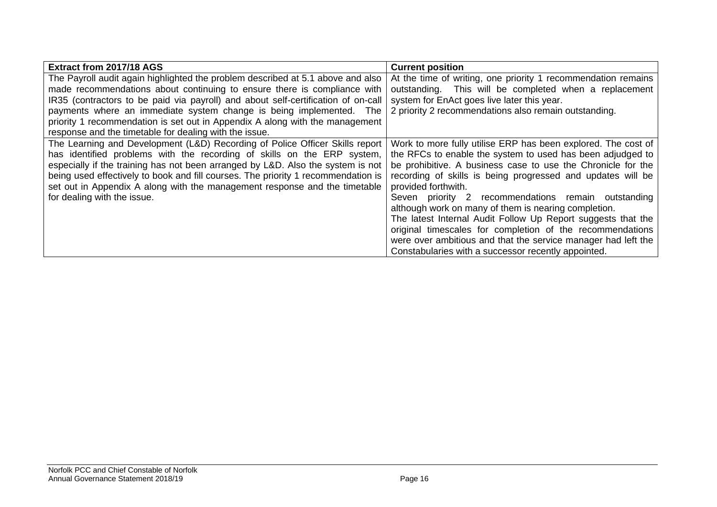| Extract from 2017/18 AGS                                                          | <b>Current position</b>                                       |
|-----------------------------------------------------------------------------------|---------------------------------------------------------------|
| The Payroll audit again highlighted the problem described at 5.1 above and also   | At the time of writing, one priority 1 recommendation remains |
| made recommendations about continuing to ensure there is compliance with          | outstanding. This will be completed when a replacement        |
| IR35 (contractors to be paid via payroll) and about self-certification of on-call | system for EnAct goes live later this year.                   |
| payments where an immediate system change is being implemented. The               | 2 priority 2 recommendations also remain outstanding.         |
| priority 1 recommendation is set out in Appendix A along with the management      |                                                               |
| response and the timetable for dealing with the issue.                            |                                                               |
| The Learning and Development (L&D) Recording of Police Officer Skills report      | Work to more fully utilise ERP has been explored. The cost of |
| has identified problems with the recording of skills on the ERP system,           | the RFCs to enable the system to used has been adjudged to    |
| especially if the training has not been arranged by L&D. Also the system is not   | be prohibitive. A business case to use the Chronicle for the  |
| being used effectively to book and fill courses. The priority 1 recommendation is | recording of skills is being progressed and updates will be   |
| set out in Appendix A along with the management response and the timetable        | provided forthwith.                                           |
| for dealing with the issue.                                                       | Seven priority 2 recommendations remain outstanding           |
|                                                                                   | although work on many of them is nearing completion.          |
|                                                                                   | The latest Internal Audit Follow Up Report suggests that the  |
|                                                                                   | original timescales for completion of the recommendations     |
|                                                                                   | were over ambitious and that the service manager had left the |
|                                                                                   | Constabularies with a successor recently appointed.           |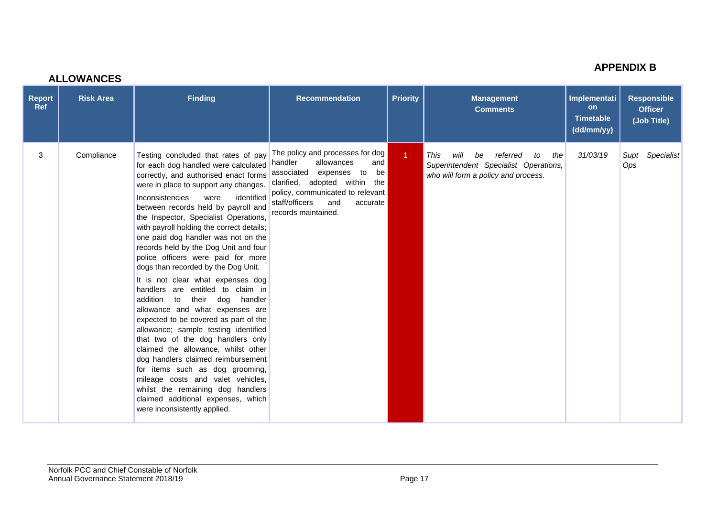|                             | <b>ALLOWANCES</b> |                                                                                                                                                                                                                                                                                                                                                                                                                                                                                                                                                                                                                                                                                                                                                                                                                                                                                                                                                                                                                                               |                                                                                                                                                                                                                                      |                      |                                                                                                                             |                                                             |                                                     |
|-----------------------------|-------------------|-----------------------------------------------------------------------------------------------------------------------------------------------------------------------------------------------------------------------------------------------------------------------------------------------------------------------------------------------------------------------------------------------------------------------------------------------------------------------------------------------------------------------------------------------------------------------------------------------------------------------------------------------------------------------------------------------------------------------------------------------------------------------------------------------------------------------------------------------------------------------------------------------------------------------------------------------------------------------------------------------------------------------------------------------|--------------------------------------------------------------------------------------------------------------------------------------------------------------------------------------------------------------------------------------|----------------------|-----------------------------------------------------------------------------------------------------------------------------|-------------------------------------------------------------|-----------------------------------------------------|
| <b>Report</b><br><b>Ref</b> | <b>Risk Area</b>  | <b>Finding</b>                                                                                                                                                                                                                                                                                                                                                                                                                                                                                                                                                                                                                                                                                                                                                                                                                                                                                                                                                                                                                                | <b>Recommendation</b>                                                                                                                                                                                                                | <b>Priority</b>      | <b>Management</b><br><b>Comments</b>                                                                                        | Implementati<br><b>on</b><br><b>Timetable</b><br>(dd/mm/yy) | <b>Responsible</b><br><b>Officer</b><br>(Job Title) |
| 3                           | Compliance        | Testing concluded that rates of pay<br>for each dog handled were calculated<br>correctly, and authorised enact forms<br>were in place to support any changes.<br>identified<br>Inconsistencies<br>were<br>between records held by payroll and<br>the Inspector, Specialist Operations,<br>with payroll holding the correct details;<br>one paid dog handler was not on the<br>records held by the Dog Unit and four<br>police officers were paid for more<br>dogs than recorded by the Dog Unit.<br>It is not clear what expenses dog<br>handlers are entitled to claim in<br>addition to<br>their<br>dog<br>handler<br>allowance and what expenses are<br>expected to be covered as part of the<br>allowance; sample testing identified<br>that two of the dog handlers only<br>claimed the allowance, whilst other<br>dog handlers claimed reimbursement<br>for items such as dog grooming,<br>mileage costs and valet vehicles,<br>whilst the remaining dog handlers<br>claimed additional expenses, which<br>were inconsistently applied. | The policy and processes for dog<br>allowances<br>handler<br>and<br>associated expenses<br>to<br>be<br>clarified, adopted within the<br>policy, communicated to relevant<br>staff/officers<br>and<br>accurate<br>records maintained. | $\blacktriangleleft$ | will<br>This<br>be<br>referred<br>the<br>to<br>Superintendent Specialist Operations,<br>who will form a policy and process. | 31/03/19                                                    | Specialist<br>Supt<br>Ops                           |

#### Norfolk PCC and Chief Constable of Norfolk Annual Governance Statement 2018/19 **Page 17**

**APPENDIX B**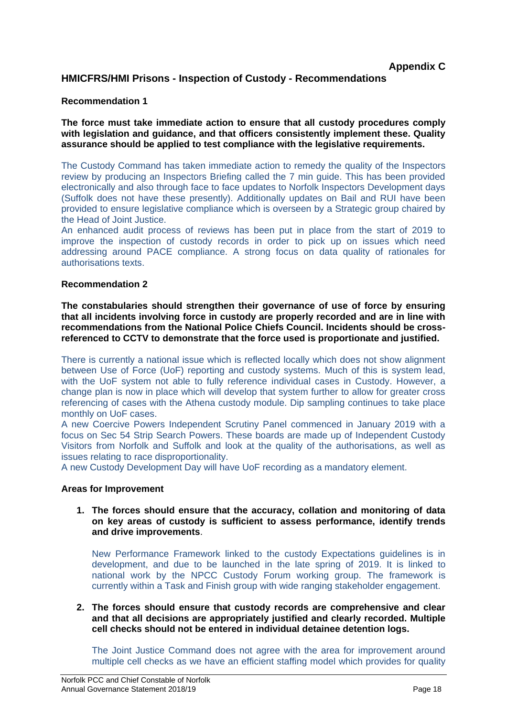# **HMICFRS/HMI Prisons - Inspection of Custody - Recommendations**

## **Recommendation 1**

**The force must take immediate action to ensure that all custody procedures comply with legislation and guidance, and that officers consistently implement these. Quality assurance should be applied to test compliance with the legislative requirements.**

The Custody Command has taken immediate action to remedy the quality of the Inspectors review by producing an Inspectors Briefing called the 7 min guide. This has been provided electronically and also through face to face updates to Norfolk Inspectors Development days (Suffolk does not have these presently). Additionally updates on Bail and RUI have been provided to ensure legislative compliance which is overseen by a Strategic group chaired by the Head of Joint Justice.

An enhanced audit process of reviews has been put in place from the start of 2019 to improve the inspection of custody records in order to pick up on issues which need addressing around PACE compliance. A strong focus on data quality of rationales for authorisations texts.

#### **Recommendation 2**

**The constabularies should strengthen their governance of use of force by ensuring that all incidents involving force in custody are properly recorded and are in line with recommendations from the National Police Chiefs Council. Incidents should be crossreferenced to CCTV to demonstrate that the force used is proportionate and justified.**

There is currently a national issue which is reflected locally which does not show alignment between Use of Force (UoF) reporting and custody systems. Much of this is system lead, with the UoF system not able to fully reference individual cases in Custody. However, a change plan is now in place which will develop that system further to allow for greater cross referencing of cases with the Athena custody module. Dip sampling continues to take place monthly on UoF cases.

A new Coercive Powers Independent Scrutiny Panel commenced in January 2019 with a focus on Sec 54 Strip Search Powers. These boards are made up of Independent Custody Visitors from Norfolk and Suffolk and look at the quality of the authorisations, as well as issues relating to race disproportionality.

A new Custody Development Day will have UoF recording as a mandatory element.

#### **Areas for Improvement**

**1. The forces should ensure that the accuracy, collation and monitoring of data on key areas of custody is sufficient to assess performance, identify trends and drive improvements**.

New Performance Framework linked to the custody Expectations guidelines is in development, and due to be launched in the late spring of 2019. It is linked to national work by the NPCC Custody Forum working group. The framework is currently within a Task and Finish group with wide ranging stakeholder engagement.

**2. The forces should ensure that custody records are comprehensive and clear and that all decisions are appropriately justified and clearly recorded. Multiple cell checks should not be entered in individual detainee detention logs.**

The Joint Justice Command does not agree with the area for improvement around multiple cell checks as we have an efficient staffing model which provides for quality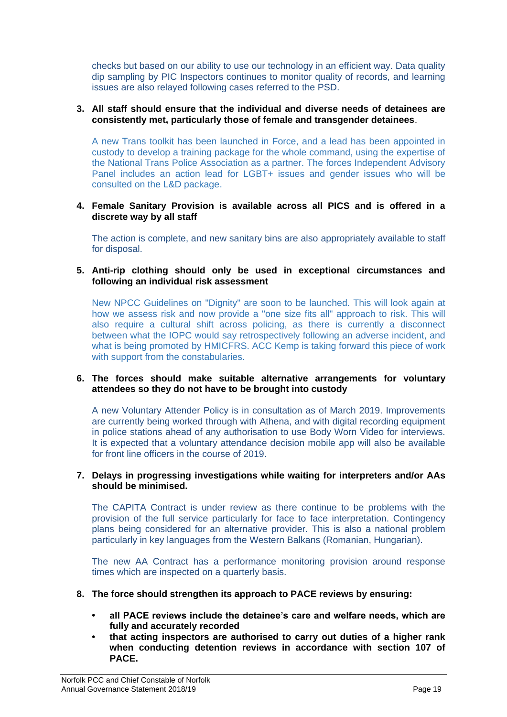checks but based on our ability to use our technology in an efficient way. Data quality dip sampling by PIC Inspectors continues to monitor quality of records, and learning issues are also relayed following cases referred to the PSD.

## **3. All staff should ensure that the individual and diverse needs of detainees are consistently met, particularly those of female and transgender detainees**.

A new Trans toolkit has been launched in Force, and a lead has been appointed in custody to develop a training package for the whole command, using the expertise of the National Trans Police Association as a partner. The forces Independent Advisory Panel includes an action lead for LGBT+ issues and gender issues who will be consulted on the L&D package.

#### **4. Female Sanitary Provision is available across all PICS and is offered in a discrete way by all staff**

The action is complete, and new sanitary bins are also appropriately available to staff for disposal.

## **5. Anti-rip clothing should only be used in exceptional circumstances and following an individual risk assessment**

New NPCC Guidelines on "Dignity" are soon to be launched. This will look again at how we assess risk and now provide a "one size fits all" approach to risk. This will also require a cultural shift across policing, as there is currently a disconnect between what the IOPC would say retrospectively following an adverse incident, and what is being promoted by HMICFRS. ACC Kemp is taking forward this piece of work with support from the constabularies.

## **6. The forces should make suitable alternative arrangements for voluntary attendees so they do not have to be brought into custody**

A new Voluntary Attender Policy is in consultation as of March 2019. Improvements are currently being worked through with Athena, and with digital recording equipment in police stations ahead of any authorisation to use Body Worn Video for interviews. It is expected that a voluntary attendance decision mobile app will also be available for front line officers in the course of 2019.

#### **7. Delays in progressing investigations while waiting for interpreters and/or AAs should be minimised.**

The CAPITA Contract is under review as there continue to be problems with the provision of the full service particularly for face to face interpretation. Contingency plans being considered for an alternative provider. This is also a national problem particularly in key languages from the Western Balkans (Romanian, Hungarian).

The new AA Contract has a performance monitoring provision around response times which are inspected on a quarterly basis.

## **8. The force should strengthen its approach to PACE reviews by ensuring:**

- **all PACE reviews include the detainee's care and welfare needs, which are fully and accurately recorded**
- **that acting inspectors are authorised to carry out duties of a higher rank when conducting detention reviews in accordance with section 107 of PACE.**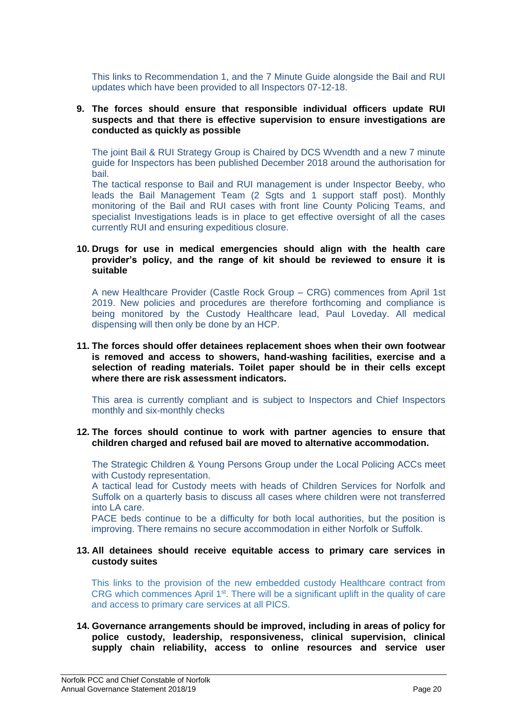This links to Recommendation 1, and the 7 Minute Guide alongside the Bail and RUI updates which have been provided to all Inspectors 07-12-18.

#### **9. The forces should ensure that responsible individual officers update RUI suspects and that there is effective supervision to ensure investigations are conducted as quickly as possible**

The joint Bail & RUI Strategy Group is Chaired by DCS Wvendth and a new 7 minute guide for Inspectors has been published December 2018 around the authorisation for bail.

The tactical response to Bail and RUI management is under Inspector Beeby, who leads the Bail Management Team (2 Sgts and 1 support staff post). Monthly monitoring of the Bail and RUI cases with front line County Policing Teams, and specialist Investigations leads is in place to get effective oversight of all the cases currently RUI and ensuring expeditious closure.

#### **10. Drugs for use in medical emergencies should align with the health care provider's policy, and the range of kit should be reviewed to ensure it is suitable**

A new Healthcare Provider (Castle Rock Group – CRG) commences from April 1st 2019. New policies and procedures are therefore forthcoming and compliance is being monitored by the Custody Healthcare lead, Paul Loveday. All medical dispensing will then only be done by an HCP.

**11. The forces should offer detainees replacement shoes when their own footwear is removed and access to showers, hand-washing facilities, exercise and a selection of reading materials. Toilet paper should be in their cells except where there are risk assessment indicators.**

This area is currently compliant and is subject to Inspectors and Chief Inspectors monthly and six-monthly checks

#### **12. The forces should continue to work with partner agencies to ensure that children charged and refused bail are moved to alternative accommodation.**

The Strategic Children & Young Persons Group under the Local Policing ACCs meet with Custody representation.

A tactical lead for Custody meets with heads of Children Services for Norfolk and Suffolk on a quarterly basis to discuss all cases where children were not transferred into LA care.

PACE beds continue to be a difficulty for both local authorities, but the position is improving. There remains no secure accommodation in either Norfolk or Suffolk.

#### **13. All detainees should receive equitable access to primary care services in custody suites**

This links to the provision of the new embedded custody Healthcare contract from CRG which commences April 1st. There will be a significant uplift in the quality of care and access to primary care services at all PICS.

**14. Governance arrangements should be improved, including in areas of policy for police custody, leadership, responsiveness, clinical supervision, clinical supply chain reliability, access to online resources and service user**